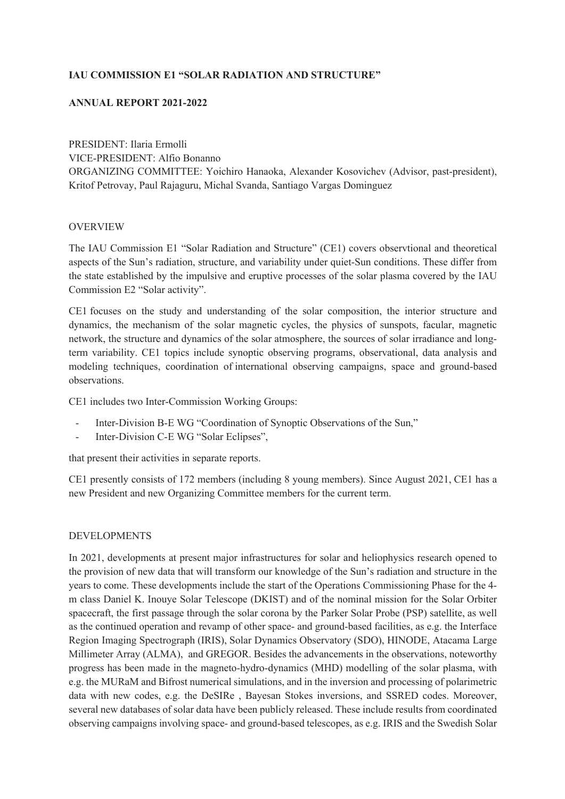# **IAU COMMISSION E1 "SOLAR RADIATION AND STRUCTURE"**

# **ANNUAL REPORT 2021-2022**

PRESIDENT: Ilaria Ermolli VICE-PRESIDENT: Alfio Bonanno ORGANIZING COMMITTEE: Yoichiro Hanaoka, Alexander Kosovichev (Advisor, past-president), Kritof Petrovay, Paul Rajaguru, Michal Svanda, Santiago Vargas Dominguez

# **OVERVIEW**

The IAU Commission E1 "Solar Radiation and Structure" (CE1) covers observtional and theoretical aspects of the Sun's radiation, structure, and variability under quiet-Sun conditions. These differ from the state established by the impulsive and eruptive processes of the solar plasma covered by the IAU Commission E2 "Solar activity".

CE1 focuses on the study and understanding of the solar composition, the interior structure and dynamics, the mechanism of the solar magnetic cycles, the physics of sunspots, facular, magnetic network, the structure and dynamics of the solar atmosphere, the sources of solar irradiance and longterm variability. CE1 topics include synoptic observing programs, observational, data analysis and modeling techniques, coordination of international observing campaigns, space and ground-based observations.

CE1 includes two Inter-Commission Working Groups:

- Inter-Division B-E WG "Coordination of Synoptic Observations of the Sun,"
- Inter-Division C-E WG "Solar Eclipses",

that present their activities in separate reports.

CE1 presently consists of 172 members (including 8 young members). Since August 2021, CE1 has a new President and new Organizing Committee members for the current term.

#### DEVELOPMENTS

In 2021, developments at present major infrastructures for solar and heliophysics research opened to the provision of new data that will transform our knowledge of the Sun's radiation and structure in the years to come. These developments include the start of the Operations Commissioning Phase for the 4 m class Daniel K. Inouye Solar Telescope (DKIST) and of the nominal mission for the Solar Orbiter spacecraft, the first passage through the solar corona by the Parker Solar Probe (PSP) satellite, as well as the continued operation and revamp of other space- and ground-based facilities, as e.g. the Interface Region Imaging Spectrograph (IRIS), Solar Dynamics Observatory (SDO), HINODE, Atacama Large Millimeter Array (ALMA), and GREGOR. Besides the advancements in the observations, noteworthy progress has been made in the magneto-hydro-dynamics (MHD) modelling of the solar plasma, with e.g. the MURaM and Bifrost numerical simulations, and in the inversion and processing of polarimetric data with new codes, e.g. the DeSIRe , Bayesan Stokes inversions, and SSRED codes. Moreover, several new databases of solar data have been publicly released. These include results from coordinated observing campaigns involving space- and ground-based telescopes, as e.g. IRIS and the Swedish Solar